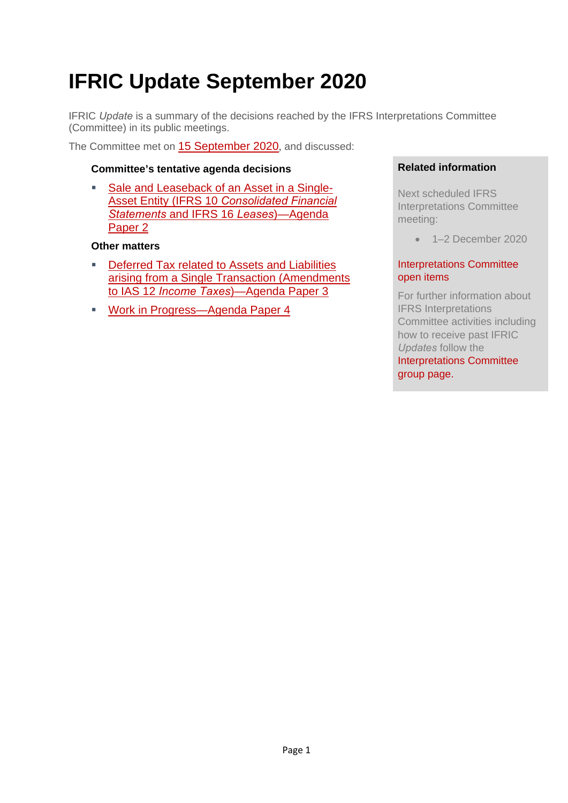# **IFRIC Update September 2020**

IFRIC *Update* is a summary of the decisions reached by the IFRS Interpretations Committee (Committee) in its public meetings.

The Committee met on 15 September 2020, and discussed:

#### **Committee's tentative agenda decisions**

 Sale and Leaseback of an Asset in a Single-Asset Entity (IFRS 10 *Consolidated Financial Statements* and IFRS 16 *Leases*)—Agenda Paper 2

#### **Other matters**

- Deferred Tax related to Assets and Liabilities arising from a Single Transaction (Amendments to IAS 12 *Income Taxes*)—Agenda Paper 3
- Work in Progress—Agenda Paper 4

#### **Related information**

Next scheduled IFRS Interpretations Committee meeting:

 $-1-2$  December 2020

#### Interpretations Committee open items

For further information about IFRS Interpretations Committee activities including how to receive past IFRIC *Updates* follow the Interpretations Committee group page.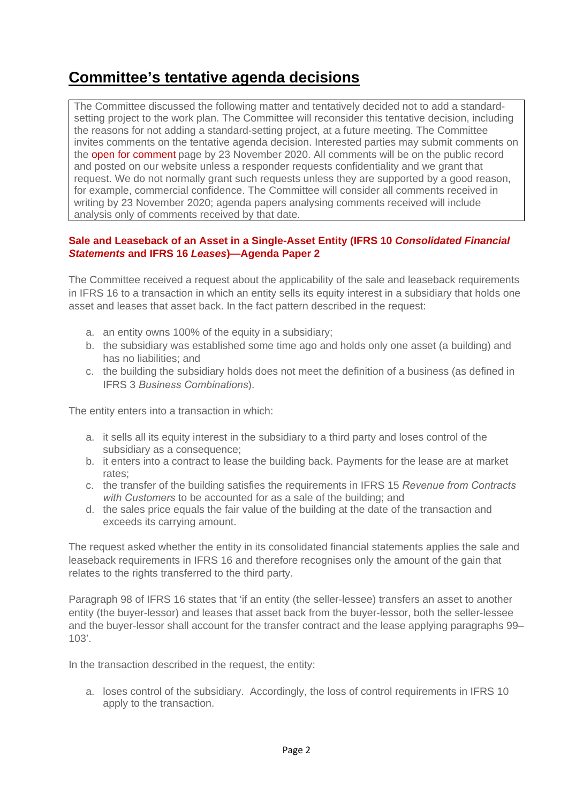## **Committee's tentative agenda decisions**

The Committee discussed the following matter and tentatively decided not to add a standardsetting project to the work plan. The Committee will reconsider this tentative decision, including the reasons for not adding a standard-setting project, at a future meeting. The Committee invites comments on the tentative agenda decision. Interested parties may submit comments on the open for comment page by 23 November 2020. All comments will be on the public record and posted on our website unless a responder requests confidentiality and we grant that request. We do not normally grant such requests unless they are supported by a good reason, for example, commercial confidence. The Committee will consider all comments received in writing by 23 November 2020; agenda papers analysing comments received will include analysis only of comments received by that date.

#### **Sale and Leaseback of an Asset in a Single-Asset Entity (IFRS 10** *Consolidated Financial Statements* **and IFRS 16** *Leases***)—Agenda Paper 2**

The Committee received a request about the applicability of the sale and leaseback requirements in IFRS 16 to a transaction in which an entity sells its equity interest in a subsidiary that holds one asset and leases that asset back. In the fact pattern described in the request:

- a. an entity owns 100% of the equity in a subsidiary;
- b. the subsidiary was established some time ago and holds only one asset (a building) and has no liabilities; and
- c. the building the subsidiary holds does not meet the definition of a business (as defined in IFRS 3 *Business Combinations*).

The entity enters into a transaction in which:

- a. it sells all its equity interest in the subsidiary to a third party and loses control of the subsidiary as a consequence;
- b. it enters into a contract to lease the building back. Payments for the lease are at market rates;
- c. the transfer of the building satisfies the requirements in IFRS 15 *Revenue from Contracts with Customers* to be accounted for as a sale of the building; and
- d. the sales price equals the fair value of the building at the date of the transaction and exceeds its carrying amount.

The request asked whether the entity in its consolidated financial statements applies the sale and leaseback requirements in IFRS 16 and therefore recognises only the amount of the gain that relates to the rights transferred to the third party.

Paragraph 98 of IFRS 16 states that 'if an entity (the seller-lessee) transfers an asset to another entity (the buyer-lessor) and leases that asset back from the buyer-lessor, both the seller-lessee and the buyer-lessor shall account for the transfer contract and the lease applying paragraphs 99– 103'.

In the transaction described in the request, the entity:

a. loses control of the subsidiary. Accordingly, the loss of control requirements in IFRS 10 apply to the transaction.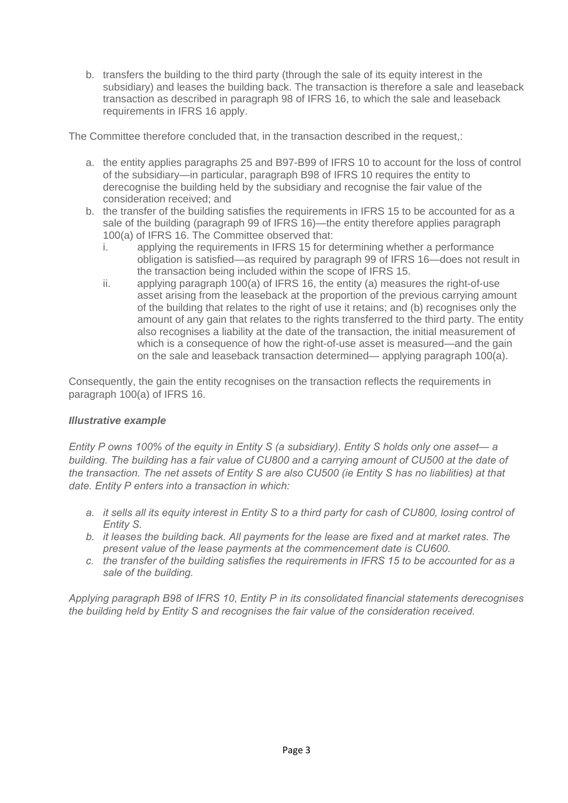b. transfers the building to the third party (through the sale of its equity interest in the subsidiary) and leases the building back. The transaction is therefore a sale and leaseback transaction as described in paragraph 98 of IFRS 16, to which the sale and leaseback requirements in IFRS 16 apply.

The Committee therefore concluded that, in the transaction described in the request,:

- a. the entity applies paragraphs 25 and B97-B99 of IFRS 10 to account for the loss of control of the subsidiary—in particular, paragraph B98 of IFRS 10 requires the entity to derecognise the building held by the subsidiary and recognise the fair value of the consideration received; and
- b. the transfer of the building satisfies the requirements in IFRS 15 to be accounted for as a sale of the building (paragraph 99 of IFRS 16)—the entity therefore applies paragraph 100(a) of IFRS 16. The Committee observed that:
	- i. applying the requirements in IFRS 15 for determining whether a performance obligation is satisfied—as required by paragraph 99 of IFRS 16—does not result in the transaction being included within the scope of IFRS 15.
	- ii. applying paragraph 100(a) of IFRS 16, the entity (a) measures the right-of-use asset arising from the leaseback at the proportion of the previous carrying amount of the building that relates to the right of use it retains; and (b) recognises only the amount of any gain that relates to the rights transferred to the third party. The entity also recognises a liability at the date of the transaction, the initial measurement of which is a consequence of how the right-of-use asset is measured—and the gain on the sale and leaseback transaction determined— applying paragraph 100(a).

Consequently, the gain the entity recognises on the transaction reflects the requirements in paragraph 100(a) of IFRS 16.

#### *Illustrative example*

*Entity P owns 100% of the equity in Entity S (a subsidiary). Entity S holds only one asset— a building. The building has a fair value of CU800 and a carrying amount of CU500 at the date of the transaction. The net assets of Entity S are also CU500 (ie Entity S has no liabilities) at that date. Entity P enters into a transaction in which:* 

- *a. it sells all its equity interest in Entity S to a third party for cash of CU800, losing control of Entity S.*
- *b. it leases the building back. All payments for the lease are fixed and at market rates. The present value of the lease payments at the commencement date is CU600.*
- *c. the transfer of the building satisfies the requirements in IFRS 15 to be accounted for as a sale of the building.*

*Applying paragraph B98 of IFRS 10, Entity P in its consolidated financial statements derecognises the building held by Entity S and recognises the fair value of the consideration received.*